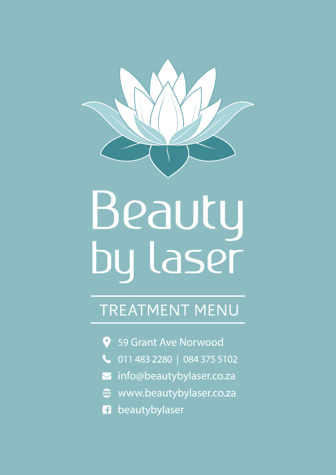

# Beauty<br>by laser

# TREATMENT MENU

- 59 Grant Ave Norwood
- 011 483 2280 | 084 375 5102
- info@beautybylaser.co.za  $\blacktriangleright$
- **s** www.beautybylaser.co.za
- **f** beautybylaser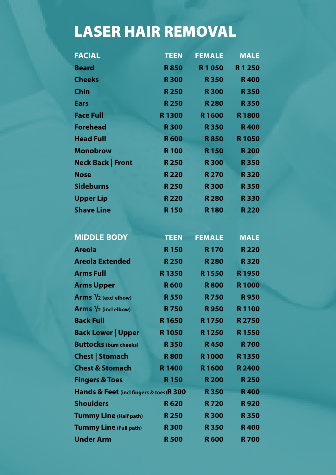# LASER HAIR REMOVAL

| <b>FACIAL</b>                           | <b>TEEN</b> | <b>FEMALE</b> | <b>MALE</b>  |
|-----------------------------------------|-------------|---------------|--------------|
| <b>Beard</b>                            | <b>R850</b> | R1050         | R1250        |
| <b>Cheeks</b>                           | <b>R300</b> | <b>R350</b>   | <b>R400</b>  |
| <b>Chin</b>                             | <b>R250</b> | <b>R300</b>   | <b>R350</b>  |
| <b>Ears</b>                             | <b>R250</b> | <b>R280</b>   | <b>R350</b>  |
| <b>Face Full</b>                        | R1300       | R1600         | <b>R1800</b> |
| <b>Forehead</b>                         | <b>R300</b> | <b>R350</b>   | <b>R400</b>  |
| <b>Head Full</b>                        | <b>R600</b> | <b>R850</b>   | <b>R1050</b> |
| <b>Monobrow</b>                         | <b>R100</b> | <b>R150</b>   | <b>R200</b>  |
| <b>Neck Back   Front</b>                | <b>R250</b> | <b>R300</b>   | <b>R350</b>  |
| <b>Nose</b>                             | <b>R220</b> | <b>R270</b>   | <b>R320</b>  |
| <b>Sideburns</b>                        | <b>R250</b> | <b>R300</b>   | <b>R350</b>  |
| <b>Upper Lip</b>                        | <b>R220</b> | <b>R280</b>   | <b>R330</b>  |
| <b>Shave Line</b>                       | <b>R150</b> | <b>R180</b>   | <b>R220</b>  |
|                                         |             |               |              |
| <b>MIDDLE BODY</b>                      | <b>TEEN</b> | <b>FEMALE</b> | <b>MALE</b>  |
| <b>Areola</b>                           | <b>R150</b> | <b>R170</b>   | <b>R220</b>  |
| <b>Areola Extended</b>                  | <b>R250</b> | <b>R280</b>   | <b>R320</b>  |
| <b>Arms Full</b>                        | R1350       | <b>R1550</b>  | <b>R1950</b> |
| <b>Arms Upper</b>                       | <b>R600</b> | <b>R800</b>   | <b>R1000</b> |
| Arms $\frac{1}{2}$ (excl elbow)         | <b>R550</b> | <b>R750</b>   | <b>R950</b>  |
| Arms $1/2$ (incl elbow)                 | <b>R750</b> | <b>R950</b>   | R1100        |
| <b>Back Full</b>                        | R 1650      | <b>R1750</b>  | <b>R2750</b> |
| <b>Back Lower   Upper</b>               | R1050       | R1250         | R1550        |
| <b>Buttocks (bum cheeks)</b>            | <b>R350</b> | <b>R450</b>   | <b>R700</b>  |
| <b>Chest   Stomach</b>                  | <b>R800</b> | <b>R1000</b>  | R1350        |
| <b>Chest &amp; Stomach</b>              | R1400       | R1600         | <b>R2400</b> |
| <b>Fingers &amp; Toes</b>               | <b>R150</b> | <b>R200</b>   | <b>R250</b>  |
| Hands & Feet (incl fingers & toes)R 300 |             | <b>R350</b>   | <b>R400</b>  |
| <b>Shoulders</b>                        | <b>R620</b> | <b>R720</b>   | <b>R920</b>  |
| <b>Tummy Line (Half path)</b>           | <b>R250</b> | <b>R300</b>   | <b>R350</b>  |
| <b>Tummy Line (Full path)</b>           | <b>R300</b> | <b>R350</b>   | <b>R400</b>  |
| <b>Under Arm</b>                        | <b>R500</b> | <b>R600</b>   | <b>R700</b>  |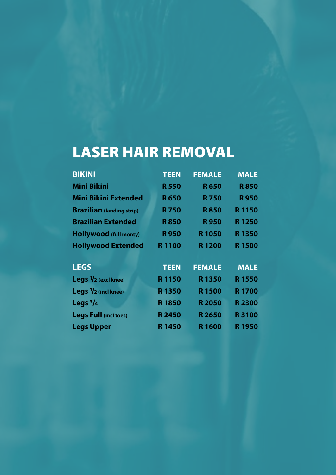# LASER HAIR REMOVAL

| <b>BIKINI</b>                         | <b>TEEN</b>       | <b>FEMALE</b>     | <b>MALE</b>  |
|---------------------------------------|-------------------|-------------------|--------------|
| <b>Mini Bikini</b>                    | <b>R550</b>       | <b>R650</b>       | <b>R850</b>  |
| <b>Mini Bikini Extended</b>           | <b>R650</b>       | <b>R750</b>       | <b>R950</b>  |
| <b>Brazilian</b> (landing strip)      | <b>R750</b>       | <b>R850</b>       | R1150        |
| <b>Brazilian Extended</b>             | <b>R850</b>       | <b>R950</b>       | R1250        |
| <b>Hollywood (full monty)</b>         | <b>R950</b>       | <b>R1050</b>      | <b>R1350</b> |
| <b>Hollywood Extended</b>             | R1100             | R <sub>1200</sub> | <b>R1500</b> |
| <b>LEGS</b>                           | <b>TEEN</b>       | <b>FEMALE</b>     | <b>MALE</b>  |
| <b>Legs</b> $\frac{1}{2}$ (excl knee) | R1150             | R1350             | <b>R1550</b> |
| Legs $1/2$ (incl knee)                | R1350             | <b>R1500</b>      | <b>R1700</b> |
| Legs $\frac{3}{4}$                    | <b>R1850</b>      | <b>R2050</b>      | <b>R2300</b> |
| <b>Legs Full (incl toes)</b>          | <b>R2450</b>      | R 2650            | <b>R3100</b> |
| <b>Legs Upper</b>                     | R <sub>1450</sub> | R1600             | R1950        |
|                                       |                   |                   |              |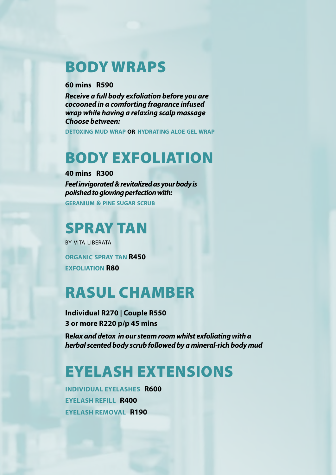### BODY WRAPS

#### **60 mins R590**

*Receive a full body exfoliation before you are cocooned in a comforting fragrance infused wrap while having a relaxing scalp massage Choose between:*

**detoxing mud wrap OR hydrating aloe gel wrap**

# BODY EXFOLIATION

**40 mins R300** *Feel invigorated & revitalized as your body is polished to glowing perfection with:*

**geranium & pine sugar scrub**

# SPRAY TAN

by vita liberata **organic spray tan R450 exfoliation R80**

## RASUL CHAMBER

**Individual R270 | Couple R550 3 or more R220 p/p 45 mins** 

**R***elax and detox in our steam room whilst exfoliating with a herbal scented body scrub followed by a mineral-rich body mud*

# EYELASH EXTENSIONS

**INDIVIDUAL EYELASHES R600 EYELASH REFILL R400 EYELASH REMOVAL R190**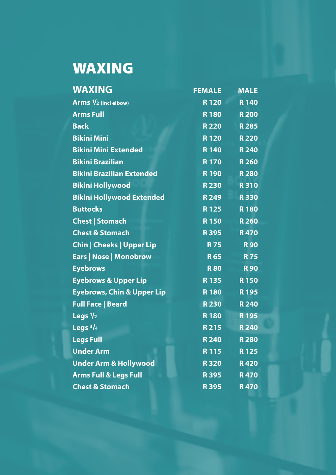# WAXING

| <b>WAXING</b>                         | <b>FEMALE</b> | <b>MALE</b> |
|---------------------------------------|---------------|-------------|
| Arms $1/2$ (incl elbow)               | <b>R120</b>   | <b>R140</b> |
| <b>Arms Full</b>                      | <b>R180</b>   | <b>R200</b> |
| <b>Back</b>                           | <b>R220</b>   | <b>R285</b> |
| <b>Bikini Mini</b>                    | <b>R120</b>   | <b>R220</b> |
| <b>Bikini Mini Extended</b>           | <b>R</b> 140  | <b>R240</b> |
| <b>Bikini Brazilian</b>               | <b>R170</b>   | <b>R260</b> |
| <b>Bikini Brazilian Extended</b>      | <b>R190</b>   | <b>R280</b> |
| <b>Bikini Hollywood</b>               | <b>R230</b>   | <b>R310</b> |
| <b>Bikini Hollywood Extended</b>      | <b>R249</b>   | <b>R330</b> |
| <b>Buttocks</b>                       | <b>R</b> 125  | <b>R180</b> |
| <b>Chest   Stomach</b>                | <b>R</b> 150  | <b>R260</b> |
| <b>Chest &amp; Stomach</b>            | <b>R395</b>   | <b>R470</b> |
| <b>Chin   Cheeks   Upper Lip</b>      | <b>R75</b>    | <b>R90</b>  |
| Ears   Nose   Monobrow                | <b>R65</b>    | <b>R75</b>  |
| <b>Eyebrows</b>                       | <b>R80</b>    | <b>R90</b>  |
| <b>Eyebrows &amp; Upper Lip</b>       | <b>R</b> 135  | <b>R150</b> |
| <b>Eyebrows, Chin &amp; Upper Lip</b> | <b>R180</b>   | <b>R195</b> |
| <b>Full Face   Beard</b>              | <b>R230</b>   | <b>R240</b> |
| Legs $1/2$                            | <b>R180</b>   | R 195       |
| Legs $3/4$                            | <b>R215</b>   | <b>R240</b> |
| <b>Legs Full</b>                      | <b>R240</b>   | <b>R280</b> |
| <b>Under Arm</b>                      | R115          | <b>R125</b> |
| <b>Under Arm &amp; Hollywood</b>      | <b>R320</b>   | <b>R420</b> |
| <b>Arms Full &amp; Legs Full</b>      | <b>R395</b>   | <b>R470</b> |
| <b>Chest &amp; Stomach</b>            | <b>R395</b>   | <b>R470</b> |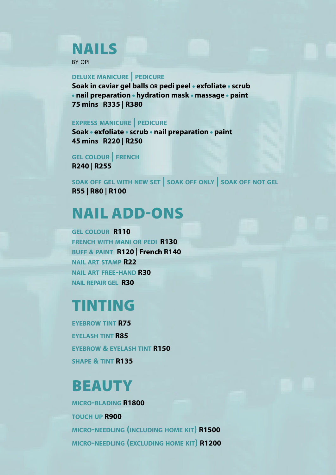# NAILS

by opi

#### **deluxe manicure | pedicure**

**Soak in caviar gel balls OR pedi peel • exfoliate • scrub • nail preparation • hydration mask • massage • paint 75 mins R335 | R380**

#### **express manicure | pedicure**

**Soak • exfoliate • scrub • nail preparation • paint 45 mins R220 | R250**

**gel colour | french R240 | R255**

**soak off gel with new set | soak off only | soak off not gel R55 | R80 | R100**

# NAIL ADD-ONS

**gel colour R110 french with mani or pedi R130 buff & paint R120 | French R140 nail art stamp R22 nail art free-hand R30 nail repair gel R30**

## TINTING

**eyebrow tint R75 eyelash tint R85 eyebrow & eyelash tint R150 shape & tint R135**

## **BEAUTY**

**micro-blading R1800 touch up R900 micro-needling (including home kit) R1500 micro-needling (excluding home kit) R1200**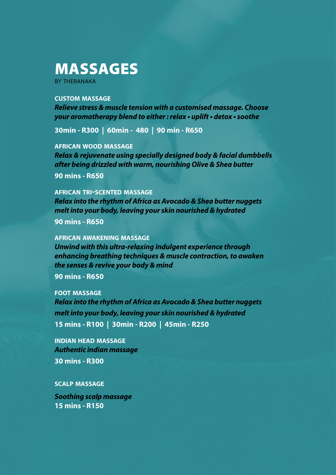# MASSAGES

by theranaka

#### **custom massage**

*Relieve stress & muscle tension with a customised massage. Choose your aromatherapy blend to either : relax • uplift • detox • soothe*

**30min - R300 | 60min - 480 | 90 min - R650**

**african wood massage**

*Relax & rejuvenate using specially designed body & facial dumbbells after being drizzled with warm, nourishing Olive & Shea butter* **90 mins - R650**

**african tri-scented massage**

*Relax into the rhythm of Africa as Avocado & Shea butter nuggets melt into your body, leaving your skin nourished & hydrated* **90 mins - R650**

**african awakening massage**

*Unwind with this ultra-relaxing indulgent experience through enhancing breathing techniques & muscle contraction, to awaken the senses & revive your body & mind*

**90 mins - R650**

**foot massage**

*Relax into the rhythm of Africa as Avocado & Shea butter nuggets melt into your body, leaving your skin nourished & hydrated* **15 mins - R100 | 30min - R200 | 45min - R250**

**indian head massage** *Authentic indian massage* **30 mins - R300**

**scalp massage**

*Soothing scalp massage* **15 mins - R150**